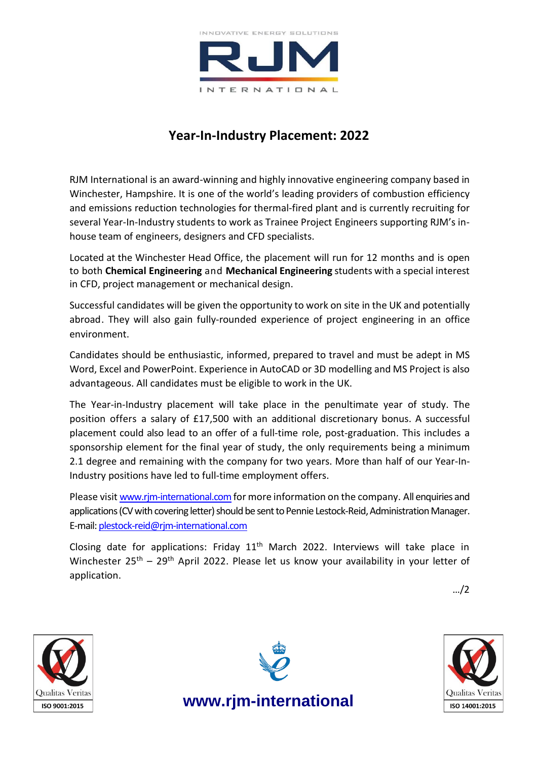

# **Year-In-Industry Placement: 2022**

RJM International is an award-winning and highly innovative engineering company based in Winchester, Hampshire. It is one of the world's leading providers of combustion efficiency and emissions reduction technologies for thermal-fired plant and is currently recruiting for several Year-In-Industry students to work as Trainee Project Engineers supporting RJM's inhouse team of engineers, designers and CFD specialists.

Located at the Winchester Head Office, the placement will run for 12 months and is open to both **Chemical Engineering** and **Mechanical Engineering** students with a special interest in CFD, project management or mechanical design.

Successful candidates will be given the opportunity to work on site in the UK and potentially abroad. They will also gain fully-rounded experience of project engineering in an office environment.

Candidates should be enthusiastic, informed, prepared to travel and must be adept in MS Word, Excel and PowerPoint. Experience in AutoCAD or 3D modelling and MS Project is also advantageous. All candidates must be eligible to work in the UK.

The Year-in-Industry placement will take place in the penultimate year of study. The position offers a salary of £17,500 with an additional discretionary bonus. A successful placement could also lead to an offer of a full-time role, post-graduation. This includes a sponsorship element for the final year of study, the only requirements being a minimum 2.1 degree and remaining with the company for two years. More than half of our Year-In-Industry positions have led to full-time employment offers.

Please visit [www.rjm-international.com](http://www.rjm-international.com/) for more information on the company. All enquiries and applications(CV with covering letter) should be sent to Pennie Lestock-Reid, Administration Manager. E-mail[: plestock-reid@rjm-international.com](mailto:plestock-reid@rjm-international.com)

Closing date for applications: Friday  $11<sup>th</sup>$  March 2022. Interviews will take place in Winchester  $25<sup>th</sup>$  –  $29<sup>th</sup>$  April 2022. Please let us know your availability in your letter of application.

…/2





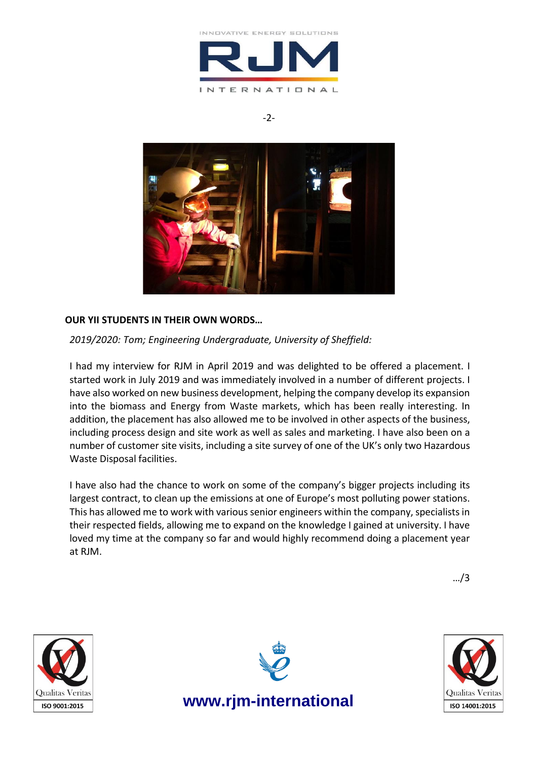





#### **OUR YII STUDENTS IN THEIR OWN WORDS…**

*2019/2020: Tom; Engineering Undergraduate, University of Sheffield:*

I had my interview for RJM in April 2019 and was delighted to be offered a placement. I started work in July 2019 and was immediately involved in a number of different projects. I have also worked on new business development, helping the company develop its expansion into the biomass and Energy from Waste markets, which has been really interesting. In addition, the placement has also allowed me to be involved in other aspects of the business, including process design and site work as well as sales and marketing. I have also been on a number of customer site visits, including a site survey of one of the UK's only two Hazardous Waste Disposal facilities.

I have also had the chance to work on some of the company's bigger projects including its largest contract, to clean up the emissions at one of Europe's most polluting power stations. This has allowed me to work with various senior engineers within the company, specialists in their respected fields, allowing me to expand on the knowledge I gained at university. I have loved my time at the company so far and would highly recommend doing a placement year at RJM.

…/3





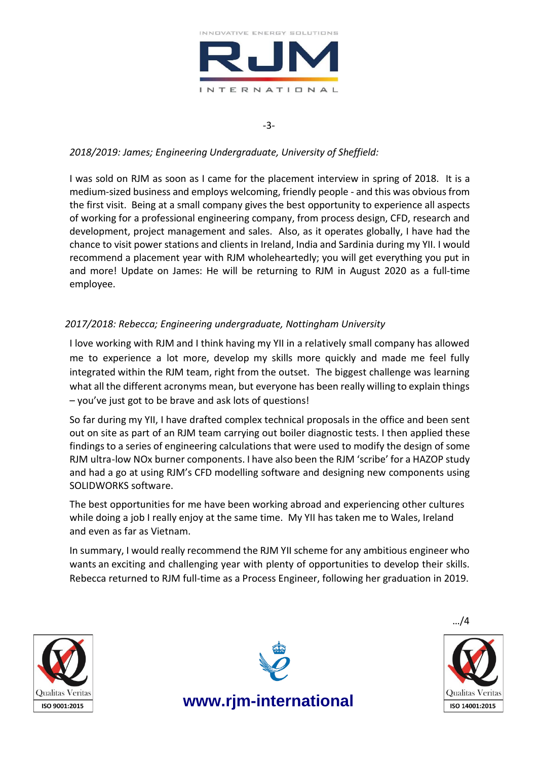

-3-

### *2018/2019: James; Engineering Undergraduate, University of Sheffield:*

I was sold on RJM as soon as I came for the placement interview in spring of 2018. It is a medium-sized business and employs welcoming, friendly people - and this was obvious from the first visit. Being at a small company gives the best opportunity to experience all aspects of working for a professional engineering company, from process design, CFD, research and development, project management and sales. Also, as it operates globally, I have had the chance to visit power stations and clients in Ireland, India and Sardinia during my YII. I would recommend a placement year with RJM wholeheartedly; you will get everything you put in and more! Update on James: He will be returning to RJM in August 2020 as a full-time employee.

# *2017/2018: Rebecca; Engineering undergraduate, Nottingham University*

I love working with RJM and I think having my YII in a relatively small company has allowed me to experience a lot more, develop my skills more quickly and made me feel fully integrated within the RJM team, right from the outset. The biggest challenge was learning what all the different acronyms mean, but everyone has been really willing to explain things – you've just got to be brave and ask lots of questions!

So far during my YII, I have drafted complex technical proposals in the office and been sent out on site as part of an RJM team carrying out boiler diagnostic tests. I then applied these findings to a series of engineering calculations that were used to modify the design of some RJM ultra-low NOx burner components. I have also been the RJM 'scribe' for a HAZOP study and had a go at using RJM's CFD modelling software and designing new components using SOLIDWORKS software.

The best opportunities for me have been working abroad and experiencing other cultures while doing a job I really enjoy at the same time. My YII has taken me to Wales, Ireland and even as far as Vietnam.

In summary, I would really recommend the RJM YII scheme for any ambitious engineer who wants an exciting and challenging year with plenty of opportunities to develop their skills. Rebecca returned to RJM full-time as a Process Engineer, following her graduation in 2019.